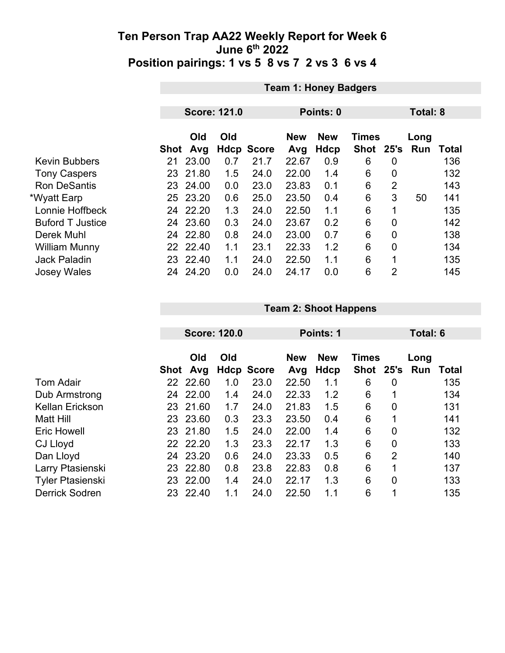|                         |      | <b>Team 1: Honey Badgers</b> |                     |                   |                   |                    |                             |                |                 |              |  |
|-------------------------|------|------------------------------|---------------------|-------------------|-------------------|--------------------|-----------------------------|----------------|-----------------|--------------|--|
|                         |      |                              |                     |                   |                   |                    |                             |                |                 |              |  |
|                         |      |                              | <b>Score: 121.0</b> |                   | Points: 0         |                    |                             |                | <b>Total: 8</b> |              |  |
|                         | Shot | Old<br>Avg                   | Old                 | <b>Hdcp Score</b> | <b>New</b><br>Avg | <b>New</b><br>Hdcp | <b>Times</b><br><b>Shot</b> | 25's           | Long<br>Run     | <b>Total</b> |  |
| <b>Kevin Bubbers</b>    | 21   | 23.00                        | 0.7                 | 21.7              | 22.67             | 0.9                | 6                           | 0              |                 | 136          |  |
| <b>Tony Caspers</b>     | 23   | 21.80                        | 1.5                 | 24.0              | 22.00             | 1.4                | 6                           | $\overline{0}$ |                 | 132          |  |
| <b>Ron DeSantis</b>     |      | 23 24.00                     | 0.0                 | 23.0              | 23.83             | 0.1                | 6                           | $\overline{2}$ |                 | 143          |  |
| *Wyatt Earp             |      | 25 23.20                     | 0.6                 | 25.0              | 23.50             | 0.4                | 6                           | 3              | 50              | 141          |  |
| Lonnie Hoffbeck         | 24   | 22.20                        | 1.3                 | 24.0              | 22.50             | 1.1                | 6                           | 1              |                 | 135          |  |
| <b>Buford T Justice</b> | 24   | 23.60                        | 0.3                 | 24.0              | 23.67             | 0.2                | 6                           | $\overline{0}$ |                 | 142          |  |
| Derek Muhl              |      | 24 22.80                     | 0.8                 | 24.0              | 23.00             | 0.7                | 6                           | 0              |                 | 138          |  |
| <b>William Munny</b>    |      | 22 22.40                     | 1.1                 | 23.1              | 22.33             | 1.2                | 6                           | $\overline{0}$ |                 | 134          |  |
| <b>Jack Paladin</b>     |      | 23 22.40                     | 1.1                 | 24.0              | 22.50             | 1.1                | 6                           | 1              |                 | 135          |  |
| <b>Josey Wales</b>      | 24   | 24.20                        | 0.0                 | 24.0              | 24.17             | 0.0                | 6                           | $\overline{2}$ |                 | 145          |  |

| <b>Team 2: Shoot Happens</b> |  |
|------------------------------|--|
|------------------------------|--|

|                         |      | <b>Score: 120.0</b> |     |                   | <b>Points: 1</b>  |                    |                           |                | Total: 6    |              |  |
|-------------------------|------|---------------------|-----|-------------------|-------------------|--------------------|---------------------------|----------------|-------------|--------------|--|
|                         | Shot | Old<br>Avg          | Old | <b>Hdcp Score</b> | <b>New</b><br>Avg | <b>New</b><br>Hdcp | <b>Times</b><br>Shot 25's |                | Long<br>Run | <b>Total</b> |  |
| <b>Tom Adair</b>        |      | 22 22.60            | 1.0 | 23.0              | 22.50             | 1.1                | 6                         | 0              |             | 135          |  |
| Dub Armstrong           | 24   | 22.00               | 1.4 | 24.0              | 22.33             | 1.2                | 6                         | 1              |             | 134          |  |
| <b>Kellan Erickson</b>  | 23   | 21.60               | 1.7 | 24.0              | 21.83             | 1.5                | 6                         | 0              |             | 131          |  |
| <b>Matt Hill</b>        |      | 23 23.60            | 0.3 | 23.3              | 23.50             | 0.4                | 6                         | 1              |             | 141          |  |
| <b>Eric Howell</b>      |      | 23 21.80            | 1.5 | 24.0              | 22.00             | 1.4                | 6                         | 0              |             | 132          |  |
| CJ Lloyd                |      | 22 22.20            | 1.3 | 23.3              | 22.17             | 1.3                | 6                         | $\overline{0}$ |             | 133          |  |
| Dan Lloyd               | 24   | 23.20               | 0.6 | 24.0              | 23.33             | 0.5                | 6                         | 2              |             | 140          |  |
| Larry Ptasienski        | 23   | 22.80               | 0.8 | 23.8              | 22.83             | 0.8                | 6                         | 1              |             | 137          |  |
| <b>Tyler Ptasienski</b> | 23   | 22.00               | 1.4 | 24.0              | 22.17             | 1.3                | 6                         | $\overline{0}$ |             | 133          |  |
| <b>Derrick Sodren</b>   | 23   | 22.40               | 1.1 | 24.0              | 22.50             | 1.1                | 6                         | 1              |             | 135          |  |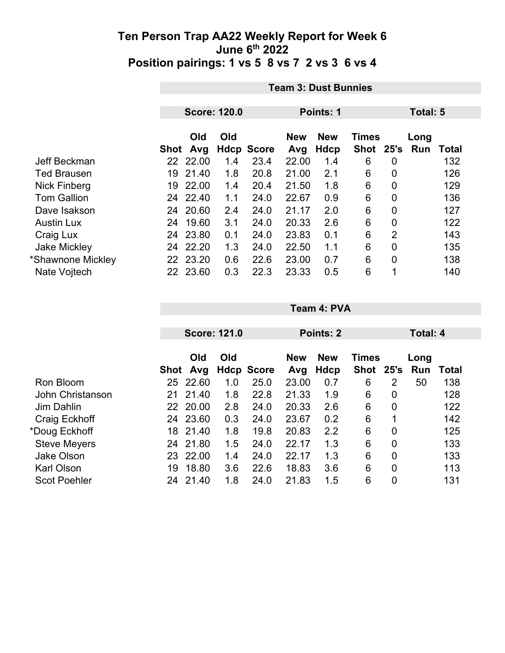|                     |      | <b>Team 3: Dust Bunnies</b> |                     |                   |                   |                           |                           |                |             |              |  |
|---------------------|------|-----------------------------|---------------------|-------------------|-------------------|---------------------------|---------------------------|----------------|-------------|--------------|--|
|                     |      |                             |                     |                   |                   |                           |                           |                |             |              |  |
|                     |      |                             | <b>Score: 120.0</b> |                   |                   | Points: 1                 |                           | Total: 5       |             |              |  |
|                     | Shot | Old<br>Avg                  | Old                 | <b>Hdcp Score</b> | <b>New</b><br>Avg | <b>New</b><br><b>Hdcp</b> | <b>Times</b><br>Shot 25's |                | Long<br>Run | <b>Total</b> |  |
| Jeff Beckman        |      | 22 22.00                    | 1.4                 | 23.4              | 22.00             | 1.4                       | 6                         | 0              |             | 132          |  |
| <b>Ted Brausen</b>  | 19   | 21.40                       | 1.8                 | 20.8              | 21.00             | 2.1                       | 6                         | 0              |             | 126          |  |
| Nick Finberg        | 19   | 22.00                       | 1.4                 | 20.4              | 21.50             | 1.8                       | 6                         | 0              |             | 129          |  |
| <b>Tom Gallion</b>  | 24   | 22.40                       | 1.1                 | 24.0              | 22.67             | 0.9                       | 6                         | $\overline{0}$ |             | 136          |  |
| Dave Isakson        | 24   | 20.60                       | 2.4                 | 24.0              | 21.17             | 2.0                       | 6                         | $\overline{0}$ |             | 127          |  |
| <b>Austin Lux</b>   | 24   | 19.60                       | 3.1                 | 24.0              | 20.33             | 2.6                       | 6                         | 0              |             | 122          |  |
| Craig Lux           | 24   | 23.80                       | 0.1                 | 24.0              | 23.83             | 0.1                       | 6                         | $\overline{2}$ |             | 143          |  |
| <b>Jake Mickley</b> | 24   | 22.20                       | 1.3                 | 24.0              | 22.50             | 1.1                       | 6                         | 0              |             | 135          |  |
| *Shawnone Mickley   |      | 22 23.20                    | 0.6                 | 22.6              | 23.00             | 0.7                       | 6                         | 0              |             | 138          |  |
| Nate Vojtech        |      | 22 23.60                    | 0.3                 | 22.3              | 23.33             | 0.5                       | 6                         | 1              |             | 140          |  |

|                     |      | <b>Score: 121.0</b> |     |                   | Points: 2         |                    |                           |                | Total: 4    |       |  |
|---------------------|------|---------------------|-----|-------------------|-------------------|--------------------|---------------------------|----------------|-------------|-------|--|
|                     | Shot | Old<br>Avg          | Old | <b>Hdcp Score</b> | <b>New</b><br>Avg | <b>New</b><br>Hdcp | <b>Times</b><br>Shot 25's |                | Long<br>Run | Total |  |
| Ron Bloom           | 25   | 22.60               | 1.0 | 25.0              | 23.00             | 0.7                | 6                         | 2              | 50          | 138   |  |
| John Christanson    | 21   | 21.40               | 1.8 | 22.8              | 21.33             | 1.9                | 6                         | 0              |             | 128   |  |
| <b>Jim Dahlin</b>   | 22   | 20.00               | 2.8 | 24.0              | 20.33             | 2.6                | 6                         | 0              |             | 122   |  |
| Craig Eckhoff       | 24   | 23.60               | 0.3 | 24.0              | 23.67             | 0.2                | 6                         | 1              |             | 142   |  |
| *Doug Eckhoff       | 18   | 21.40               | 1.8 | 19.8              | 20.83             | 2.2                | 6                         | 0              |             | 125   |  |
| <b>Steve Meyers</b> | 24   | 21.80               | 1.5 | 24.0              | 22.17             | 1.3                | 6                         | 0              |             | 133   |  |
| <b>Jake Olson</b>   | 23   | 22.00               | 1.4 | 24.0              | 22.17             | 1.3                | 6                         | $\overline{0}$ |             | 133   |  |
| <b>Karl Olson</b>   | 19   | 18.80               | 3.6 | 22.6              | 18.83             | 3.6                | 6                         | $\overline{0}$ |             | 113   |  |
| <b>Scot Poehler</b> | 24   | 21.40               | 1.8 | 24.0              | 21.83             | 1.5                | 6                         | $\overline{0}$ |             | 131   |  |

**Team 4: PVA**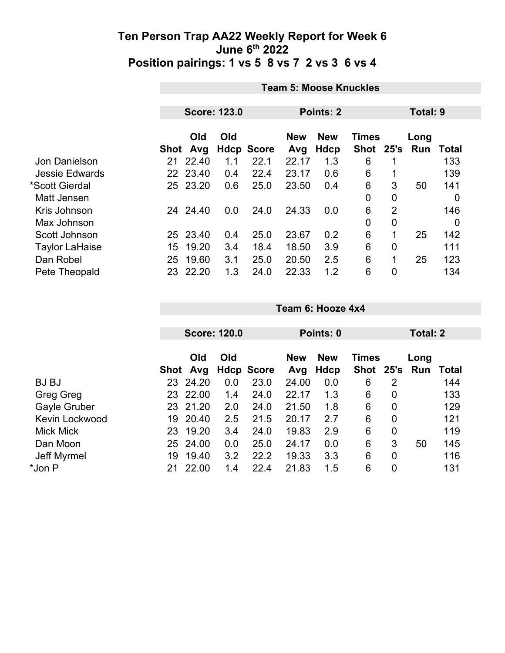|                       | <b>Team 5: Moose Knuckles</b> |                                         |     |                                          |       |             |           |                |          |                |  |  |  |
|-----------------------|-------------------------------|-----------------------------------------|-----|------------------------------------------|-------|-------------|-----------|----------------|----------|----------------|--|--|--|
|                       |                               | <b>Score: 123.0</b><br><b>Points: 2</b> |     |                                          |       |             |           |                | Total: 9 |                |  |  |  |
|                       | Old<br>Old                    |                                         |     | <b>New</b><br><b>New</b><br><b>Times</b> |       |             |           | Long           |          |                |  |  |  |
|                       | Shot                          | Avg                                     |     | <b>Hdcp Score</b>                        | Avg   | <b>Hdcp</b> | Shot 25's |                | Run      | Total          |  |  |  |
| Jon Danielson         | 21                            | 22.40                                   | 1.1 | 22.1                                     | 22.17 | 1.3         | 6         |                |          | 133            |  |  |  |
| <b>Jessie Edwards</b> |                               | 22 23.40                                | 0.4 | 22.4                                     | 23.17 | 0.6         | 6         |                |          | 139            |  |  |  |
| *Scott Gierdal        |                               | 25 23.20                                | 0.6 | 25.0                                     | 23.50 | 0.4         | 6         | 3              | 50       | 141            |  |  |  |
| Matt Jensen           |                               |                                         |     |                                          |       |             | 0         | $\mathbf 0$    |          | 0              |  |  |  |
| Kris Johnson          | 24                            | 24.40                                   | 0.0 | 24.0                                     | 24.33 | 0.0         | 6         | $\overline{2}$ |          | 146            |  |  |  |
| Max Johnson           |                               |                                         |     |                                          |       |             | 0         | $\mathbf 0$    |          | $\overline{0}$ |  |  |  |
| Scott Johnson         |                               | 25 23.40                                | 0.4 | 25.0                                     | 23.67 | 0.2         | 6         | 1              | 25       | 142            |  |  |  |
| <b>Taylor LaHaise</b> | 15                            | 19.20                                   | 3.4 | 18.4                                     | 18.50 | 3.9         | 6         | $\overline{0}$ |          | 111            |  |  |  |
| Dan Robel             | 25                            | 19.60                                   | 3.1 | 25.0                                     | 20.50 | 2.5         | 6         | 1              | 25       | 123            |  |  |  |
| Pete Theopald         | 23                            | 22.20                                   | 1.3 | 24.0                                     | 22.33 | 1.2         | 6         | $\mathbf 0$    |          | 134            |  |  |  |

|                     |      | <b>Score: 120.0</b> |     |                   | Points: 0         |                    |                               |   | Total: 2 |              |  |
|---------------------|------|---------------------|-----|-------------------|-------------------|--------------------|-------------------------------|---|----------|--------------|--|
|                     | Shot | Old<br>Avg          | Old | <b>Hdcp Score</b> | <b>New</b><br>Avg | <b>New</b><br>Hdcp | <b>Times</b><br>Shot 25's Run |   | Long     | <b>Total</b> |  |
| <b>BJ BJ</b>        | 23   | 24.20               | 0.0 | 23.0              | 24.00             | 0.0                | 6                             | 2 |          | 144          |  |
| Greg Greg           | 23   | 22.00               | 1.4 | 24.0              | 22.17             | 1.3                | 6                             | 0 |          | 133          |  |
| <b>Gayle Gruber</b> |      | 23 21.20            | 2.0 | 24.0              | 21.50             | 1.8                | 6                             | 0 |          | 129          |  |
| Kevin Lockwood      | 19   | 20.40               | 2.5 | 21.5              | 20.17             | 2.7                | 6                             | 0 |          | 121          |  |
| <b>Mick Mick</b>    |      | 23 19.20            | 3.4 | 24.0              | 19.83             | 2.9                | 6                             | 0 |          | 119          |  |
| Dan Moon            |      | 25 24.00            | 0.0 | 25.0              | 24.17             | 0.0                | 6                             | 3 | 50       | 145          |  |
| Jeff Myrmel         | 19   | 19.40               | 3.2 | 22.2              | 19.33             | 3.3                | 6                             | 0 |          | 116          |  |
| *Jon P              | 21   | 22.00               | 1.4 | 22.4              | 21.83             | 1.5                | 6                             | 0 |          | 131          |  |

**Team 6: Hooze 4x4**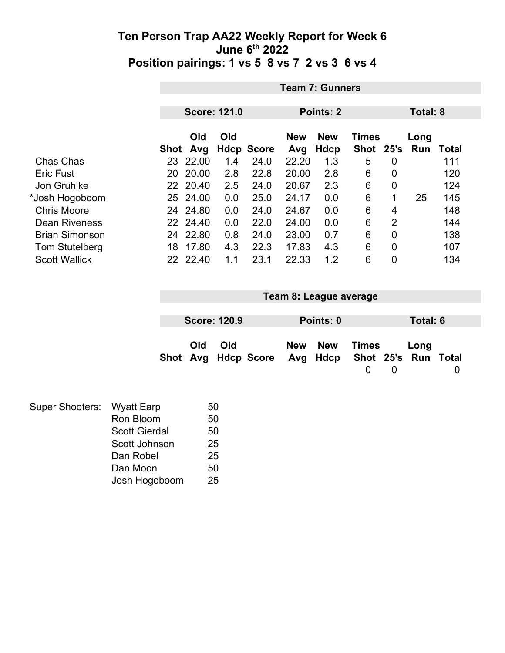|                       |      | <b>Team 7: Gunners</b> |     |                   |                   |                           |                             |      |             |       |  |
|-----------------------|------|------------------------|-----|-------------------|-------------------|---------------------------|-----------------------------|------|-------------|-------|--|
|                       |      | <b>Score: 121.0</b>    |     |                   |                   | Points: 2                 |                             |      | Total: 8    |       |  |
|                       |      |                        |     |                   |                   |                           |                             |      |             |       |  |
|                       | Shot | <b>Old</b><br>Avg      | Old | <b>Hdcp Score</b> | <b>New</b><br>Avg | <b>New</b><br><b>Hdcp</b> | <b>Times</b><br><b>Shot</b> | 25's | Long<br>Run | Total |  |
| Chas Chas             | 23   | 22.00                  | 1.4 | 24.0              | 22.20             | 1.3                       | 5                           | 0    |             | 111   |  |
| <b>Eric Fust</b>      | 20   | 20.00                  | 2.8 | 22.8              | 20.00             | 2.8                       | 6                           | 0    |             | 120   |  |
| Jon Gruhlke           |      | 22 20.40               | 2.5 | 24.0              | 20.67             | 2.3                       | 6                           | 0    |             | 124   |  |
| *Josh Hogoboom        | 25   | 24.00                  | 0.0 | 25.0              | 24.17             | 0.0                       | 6                           | 1    | 25          | 145   |  |
| <b>Chris Moore</b>    | 24   | 24.80                  | 0.0 | 24.0              | 24.67             | 0.0                       | 6                           | 4    |             | 148   |  |
| <b>Dean Riveness</b>  |      | 22 24.40               | 0.0 | 22.0              | 24.00             | 0.0                       | 6                           | 2    |             | 144   |  |
| <b>Brian Simonson</b> | 24   | 22.80                  | 0.8 | 24.0              | 23.00             | 0.7                       | 6                           | 0    |             | 138   |  |
| <b>Tom Stutelberg</b> | 18   | 17.80                  | 4.3 | 22.3              | 17.83             | 4.3                       | 6                           | 0    |             | 107   |  |
| <b>Scott Wallick</b>  | 22   | 22.40                  | 1.1 | 23.1              | 22.33             | 1.2                       | 6                           | 0    |             | 134   |  |

| Team 8: League average |                     |                                                  |  |           |       |  |          |  |  |
|------------------------|---------------------|--------------------------------------------------|--|-----------|-------|--|----------|--|--|
|                        |                     |                                                  |  |           |       |  |          |  |  |
|                        | <b>Score: 120.9</b> |                                                  |  | Points: 0 |       |  | Total: 6 |  |  |
| Old                    | Old                 | Shot Avg Hdcp Score Avg Hdcp Shot 25's Run Total |  | New New   | Times |  | Long     |  |  |

| Super Shooters: Wyatt Earp |                      | 50 |
|----------------------------|----------------------|----|
|                            | Ron Bloom            | 50 |
|                            | <b>Scott Gierdal</b> | 50 |
|                            | Scott Johnson        | 25 |
|                            | Dan Robel            | 25 |
|                            | Dan Moon             | 50 |
|                            | Josh Hogoboom        | 25 |
|                            |                      |    |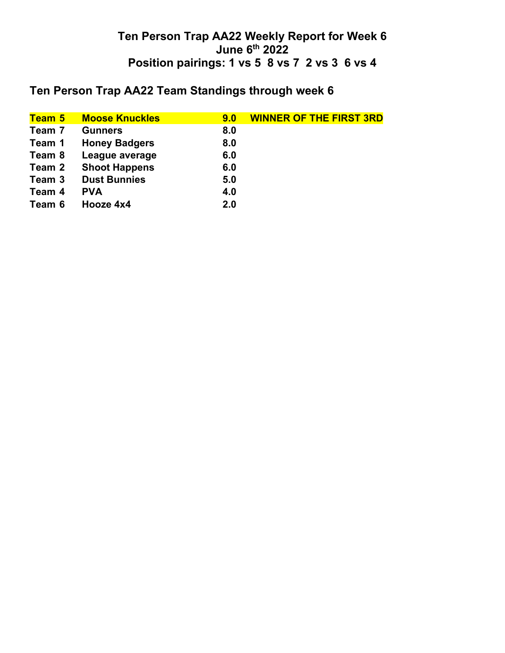## **Ten Person Trap AA22 Team Standings through week 6**

| <b>Team 5</b> | <b>Moose Knuckles</b> | 9.0 | <b>WINNER OF THE FIRST 3RD</b> |
|---------------|-----------------------|-----|--------------------------------|
| Team 7        | <b>Gunners</b>        | 8.0 |                                |
| Team 1        | <b>Honey Badgers</b>  | 8.0 |                                |
| Team 8        | League average        | 6.0 |                                |
| Team 2        | <b>Shoot Happens</b>  | 6.0 |                                |
| Team 3        | <b>Dust Bunnies</b>   | 5.0 |                                |
| Team 4        | <b>PVA</b>            | 4.0 |                                |
| Team 6        | Hooze 4x4             | 2.0 |                                |
|               |                       |     |                                |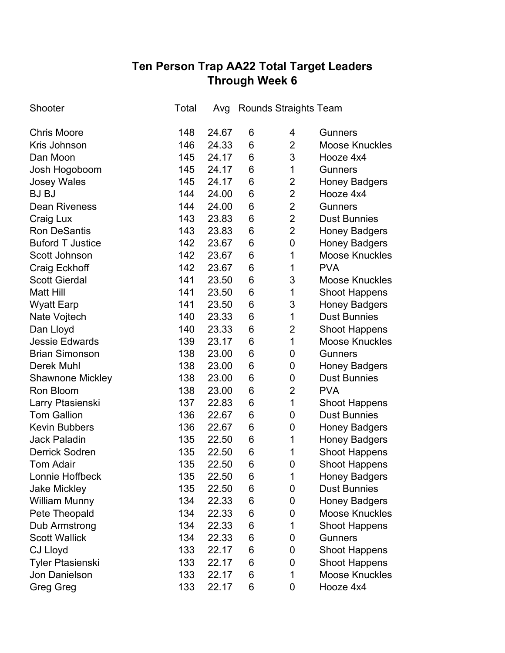# **Ten Person Trap AA22 Total Target Leaders Through Week 6**

| Shooter                 | Total | Avg   |   | <b>Rounds Straights Team</b> |                       |
|-------------------------|-------|-------|---|------------------------------|-----------------------|
| <b>Chris Moore</b>      | 148   | 24.67 | 6 | 4                            | <b>Gunners</b>        |
| Kris Johnson            | 146   | 24.33 | 6 | $\overline{2}$               | <b>Moose Knuckles</b> |
| Dan Moon                | 145   | 24.17 | 6 | 3                            | Hooze 4x4             |
| Josh Hogoboom           | 145   | 24.17 | 6 | 1                            | <b>Gunners</b>        |
| <b>Josey Wales</b>      | 145   | 24.17 | 6 | $\overline{2}$               | <b>Honey Badgers</b>  |
| <b>BJ BJ</b>            | 144   | 24.00 | 6 | $\overline{2}$               | Hooze 4x4             |
| <b>Dean Riveness</b>    | 144   | 24.00 | 6 | $\overline{2}$               | <b>Gunners</b>        |
| Craig Lux               | 143   | 23.83 | 6 | $\overline{2}$               | <b>Dust Bunnies</b>   |
| <b>Ron DeSantis</b>     | 143   | 23.83 | 6 | $\overline{2}$               | <b>Honey Badgers</b>  |
| <b>Buford T Justice</b> | 142   | 23.67 | 6 | $\mathbf 0$                  | <b>Honey Badgers</b>  |
| Scott Johnson           | 142   | 23.67 | 6 | 1                            | <b>Moose Knuckles</b> |
| Craig Eckhoff           | 142   | 23.67 | 6 | 1                            | <b>PVA</b>            |
| <b>Scott Gierdal</b>    | 141   | 23.50 | 6 | 3                            | <b>Moose Knuckles</b> |
| <b>Matt Hill</b>        | 141   | 23.50 | 6 | 1                            | <b>Shoot Happens</b>  |
| <b>Wyatt Earp</b>       | 141   | 23.50 | 6 | 3                            | <b>Honey Badgers</b>  |
| Nate Vojtech            | 140   | 23.33 | 6 | 1                            | <b>Dust Bunnies</b>   |
| Dan Lloyd               | 140   | 23.33 | 6 | $\overline{2}$               | <b>Shoot Happens</b>  |
| <b>Jessie Edwards</b>   | 139   | 23.17 | 6 | 1                            | <b>Moose Knuckles</b> |
| <b>Brian Simonson</b>   | 138   | 23.00 | 6 | 0                            | <b>Gunners</b>        |
| <b>Derek Muhl</b>       | 138   | 23.00 | 6 | 0                            | <b>Honey Badgers</b>  |
| <b>Shawnone Mickley</b> | 138   | 23.00 | 6 | 0                            | <b>Dust Bunnies</b>   |
| Ron Bloom               | 138   | 23.00 | 6 | $\overline{2}$               | <b>PVA</b>            |
| Larry Ptasienski        | 137   | 22.83 | 6 | 1                            | <b>Shoot Happens</b>  |
| <b>Tom Gallion</b>      | 136   | 22.67 | 6 | 0                            | <b>Dust Bunnies</b>   |
| <b>Kevin Bubbers</b>    | 136   | 22.67 | 6 | $\mathbf 0$                  | <b>Honey Badgers</b>  |
| <b>Jack Paladin</b>     | 135   | 22.50 | 6 | 1                            | <b>Honey Badgers</b>  |
| <b>Derrick Sodren</b>   | 135   | 22.50 | 6 | 1                            | <b>Shoot Happens</b>  |
| <b>Tom Adair</b>        | 135   | 22.50 | 6 | 0                            | <b>Shoot Happens</b>  |
| Lonnie Hoffbeck         | 135   | 22.50 | 6 | 1                            | <b>Honey Badgers</b>  |
| <b>Jake Mickley</b>     | 135   | 22.50 | 6 | 0                            | <b>Dust Bunnies</b>   |
| <b>William Munny</b>    | 134   | 22.33 | 6 | 0                            | <b>Honey Badgers</b>  |
| Pete Theopald           | 134   | 22.33 | 6 | 0                            | <b>Moose Knuckles</b> |
| Dub Armstrong           | 134   | 22.33 | 6 | 1                            | <b>Shoot Happens</b>  |
| <b>Scott Wallick</b>    | 134   | 22.33 | 6 | 0                            | <b>Gunners</b>        |
| <b>CJ Lloyd</b>         | 133   | 22.17 | 6 | 0                            | <b>Shoot Happens</b>  |
| Tyler Ptasienski        | 133   | 22.17 | 6 | 0                            | <b>Shoot Happens</b>  |
| Jon Danielson           | 133   | 22.17 | 6 | 1                            | <b>Moose Knuckles</b> |
| <b>Greg Greg</b>        | 133   | 22.17 | 6 | 0                            | Hooze 4x4             |